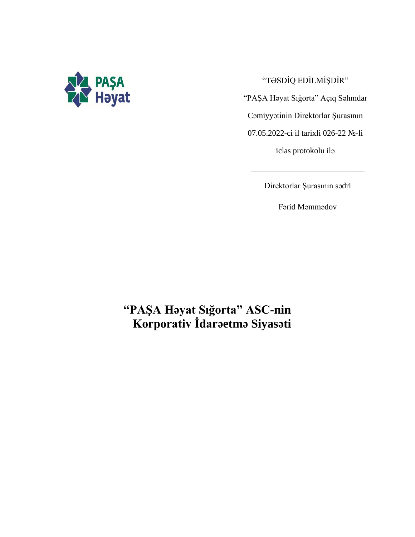

"TƏSDİQ EDİLMİŞDİR"

"PAŞA Həyat Sığorta" Açıq Səhmdar

Cəmiyyətinin Direktorlar Şurasının

07.05.2022-ci il tarixli 026-22 №-li

iclas protokolu ilə

Direktorlar Şurasının sədri

\_\_\_\_\_\_\_\_\_\_\_\_\_\_\_\_\_\_\_\_\_\_\_\_\_\_\_\_

Fərid Məmmədov

# **"PAŞA Həyat Sığorta" ASC-nin Korporativ İdarəetmə Siyasəti**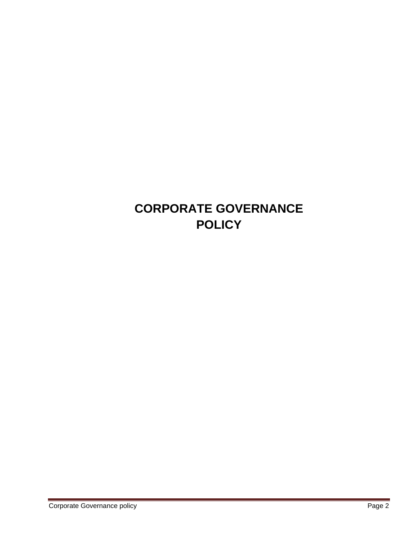# **CORPORATE GOVERNANCE POLICY**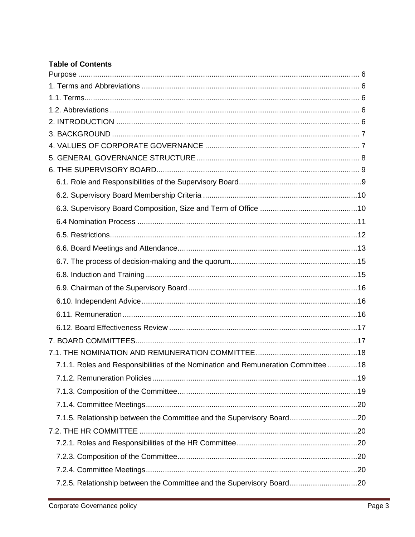# **Table of Contents**

| 7.1.1. Roles and Responsibilities of the Nomination and Remuneration Committee 18 |  |
|-----------------------------------------------------------------------------------|--|
|                                                                                   |  |
|                                                                                   |  |
|                                                                                   |  |
| 7.1.5. Relationship between the Committee and the Supervisory Board20             |  |
|                                                                                   |  |
|                                                                                   |  |
|                                                                                   |  |
|                                                                                   |  |
| 7.2.5. Relationship between the Committee and the Supervisory Board20             |  |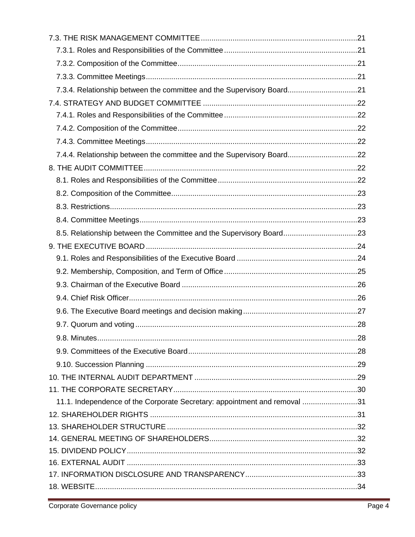| 7.3.4. Relationship between the committee and the Supervisory Board21     |  |
|---------------------------------------------------------------------------|--|
|                                                                           |  |
|                                                                           |  |
|                                                                           |  |
|                                                                           |  |
| 7.4.4. Relationship between the committee and the Supervisory Board22     |  |
|                                                                           |  |
|                                                                           |  |
|                                                                           |  |
|                                                                           |  |
|                                                                           |  |
| 8.5. Relationship between the Committee and the Supervisory Board23       |  |
|                                                                           |  |
|                                                                           |  |
|                                                                           |  |
|                                                                           |  |
|                                                                           |  |
|                                                                           |  |
|                                                                           |  |
|                                                                           |  |
|                                                                           |  |
|                                                                           |  |
|                                                                           |  |
|                                                                           |  |
| 11.1. Independence of the Corporate Secretary: appointment and removal 31 |  |
|                                                                           |  |
|                                                                           |  |
|                                                                           |  |
|                                                                           |  |
|                                                                           |  |
|                                                                           |  |
|                                                                           |  |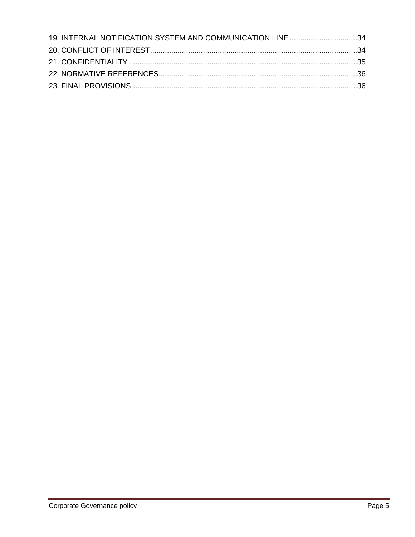<span id="page-4-0"></span>

| 19. INTERNAL NOTIFICATION SYSTEM AND COMMUNICATION LINE 34 |  |
|------------------------------------------------------------|--|
|                                                            |  |
|                                                            |  |
|                                                            |  |
|                                                            |  |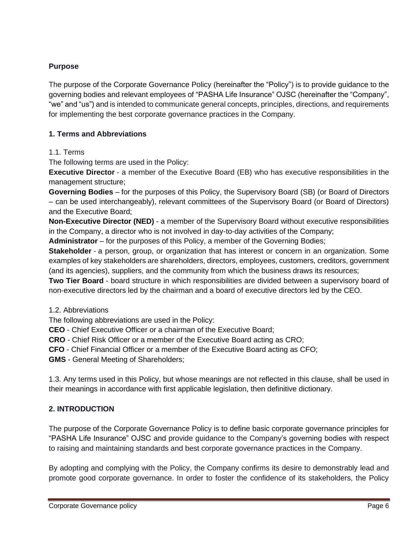# **Purpose**

The purpose of the Corporate Governance Policy (hereinafter the "Policy") is to provide guidance to the governing bodies and relevant employees of "PASHA Life Insurance" OJSC (hereinafter the "Company", "we" and "us") and is intended to communicate general concepts, principles, directions, and requirements for implementing the best corporate governance practices in the Company.

# <span id="page-5-0"></span>**1. Terms and Abbreviations**

## <span id="page-5-1"></span>1.1. Terms

The following terms are used in the Policy:

**Executive Director** - a member of the Executive Board (EB) who has executive responsibilities in the management structure;

**Governing Bodies** – for the purposes of this Policy, the Supervisory Board (SB) (or Board of Directors – can be used interchangeably), relevant committees of the Supervisory Board (or Board of Directors) and the Executive Board;

**Non-Executive Director (NED)** - a member of the Supervisory Board without executive responsibilities in the Company, a director who is not involved in day-to-day activities of the Company;

**Administrator** – for the purposes of this Policy, a member of the Governing Bodies;

**Stakeholder** - a person, group, or organization that has interest or concern in an organization. Some examples of key stakeholders are shareholders, directors, employees, customers, creditors, government (and its agencies), suppliers, and the community from which the business draws its resources;

**Two Tier Board** - board structure in which responsibilities are divided between a supervisory board of non-executive directors led by the chairman and a board of executive directors led by the CEO.

#### <span id="page-5-2"></span>1.2. Abbreviations

The following abbreviations are used in the Policy:

**CEO** - Chief Executive Officer or a chairman of the Executive Board;

**CRO** - Chief Risk Officer or a member of the Executive Board acting as CRO;

**CFO** - Chief Financial Officer or a member of the Executive Board acting as CFO;

**GMS** - General Meeting of Shareholders;

1.3. Any terms used in this Policy, but whose meanings are not reflected in this clause, shall be used in their meanings in accordance with first applicable legislation, then definitive dictionary.

# <span id="page-5-3"></span>**2. INTRODUCTION**

The purpose of the Corporate Governance Policy is to define basic corporate governance principles for "PASHA Life Insurance" OJSC and provide guidance to the Company's governing bodies with respect to raising and maintaining standards and best corporate governance practices in the Company.

By adopting and complying with the Policy, the Company confirms its desire to demonstrably lead and promote good corporate governance. In order to foster the confidence of its stakeholders, the Policy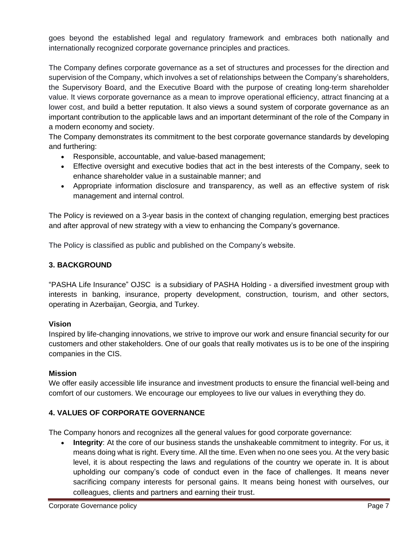goes beyond the established legal and regulatory framework and embraces both nationally and internationally recognized corporate governance principles and practices.

The Company defines corporate governance as a set of structures and processes for the direction and supervision of the Company, which involves a set of relationships between the Company's shareholders, the Supervisory Board, and the Executive Board with the purpose of creating long-term shareholder value. It views corporate governance as a mean to improve operational efficiency, attract financing at a lower cost, and build a better reputation. It also views a sound system of corporate governance as an important contribution to the applicable laws and an important determinant of the role of the Company in a modern economy and society.

The Company demonstrates its commitment to the best corporate governance standards by developing and furthering:

- Responsible, accountable, and value-based management;
- Effective oversight and executive bodies that act in the best interests of the Company, seek to enhance shareholder value in a sustainable manner; and
- Appropriate information disclosure and transparency, as well as an effective system of risk management and internal control.

The Policy is reviewed on a 3-year basis in the context of changing regulation, emerging best practices and after approval of new strategy with a view to enhancing the Company's governance.

The Policy is classified as public and published on the Company's website.

# <span id="page-6-0"></span>**3. BACKGROUND**

"PASHA Life Insurance" OJSC is a subsidiary of PASHA Holding - a diversified investment group with interests in banking, insurance, property development, construction, tourism, and other sectors, operating in Azerbaijan, Georgia, and Turkey.

# **Vision**

Inspired by life-changing innovations, we strive to improve our work and ensure financial security for our customers and other stakeholders. One of our goals that really motivates us is to be one of the inspiring companies in the CIS.

# **Mission**

We offer easily accessible life insurance and investment products to ensure the financial well-being and comfort of our customers. We encourage our employees to live our values in everything they do.

# <span id="page-6-1"></span>**4. VALUES OF CORPORATE GOVERNANCE**

The Company honors and recognizes all the general values for good corporate governance:

• **Integrity**: At the core of our business stands the unshakeable commitment to integrity. For us, it means doing what is right. Every time. All the time. Even when no one sees you. At the very basic level, it is about respecting the laws and regulations of the country we operate in. It is about upholding our company's code of conduct even in the face of challenges. It means never sacrificing company interests for personal gains. It means being honest with ourselves, our colleagues, clients and partners and earning their trust.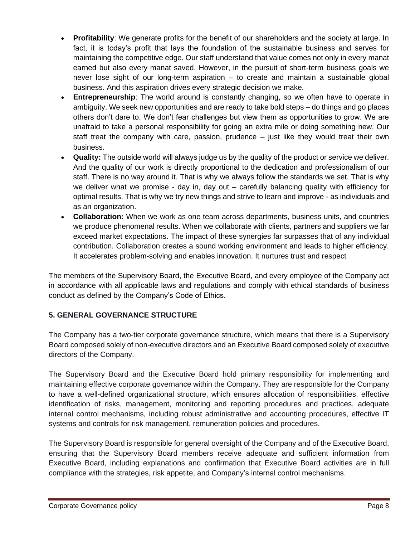- **Profitability:** We generate profits for the benefit of our shareholders and the society at large. In fact, it is today's profit that lays the foundation of the sustainable business and serves for maintaining the competitive edge. Our staff understand that value comes not only in every manat earned but also every manat saved. However, in the pursuit of short-term business goals we never lose sight of our long-term aspiration – to create and maintain a sustainable global business. And this aspiration drives every strategic decision we make.
- **Entrepreneurship**: The world around is constantly changing, so we often have to operate in ambiguity. We seek new opportunities and are ready to take bold steps – do things and go places others don't dare to. We don't fear challenges but view them as opportunities to grow. We are unafraid to take a personal responsibility for going an extra mile or doing something new. Our staff treat the company with care, passion, prudence – just like they would treat their own business.
- **Quality:** The outside world will always judge us by the quality of the product or service we deliver. And the quality of our work is directly proportional to the dedication and professionalism of our staff. There is no way around it. That is why we always follow the standards we set. That is why we deliver what we promise - day in, day out – carefully balancing quality with efficiency for optimal results. That is why we try new things and strive to learn and improve - as individuals and as an organization.
- **Collaboration:** When we work as one team across departments, business units, and countries we produce phenomenal results. When we collaborate with clients, partners and suppliers we far exceed market expectations. The impact of these synergies far surpasses that of any individual contribution. Collaboration creates a sound working environment and leads to higher efficiency. It accelerates problem-solving and enables innovation. It nurtures trust and respect

The members of the Supervisory Board, the Executive Board, and every employee of the Company act in accordance with all applicable laws and regulations and comply with ethical standards of business conduct as defined by the Company's Code of Ethics.

# <span id="page-7-0"></span>**5. GENERAL GOVERNANCE STRUCTURE**

The Company has a two-tier corporate governance structure, which means that there is a Supervisory Board composed solely of non-executive directors and an Executive Board composed solely of executive directors of the Company.

The Supervisory Board and the Executive Board hold primary responsibility for implementing and maintaining effective corporate governance within the Company. They are responsible for the Company to have a well-defined organizational structure, which ensures allocation of responsibilities, effective identification of risks, management, monitoring and reporting procedures and practices, adequate internal control mechanisms, including robust administrative and accounting procedures, effective IT systems and controls for risk management, remuneration policies and procedures.

The Supervisory Board is responsible for general oversight of the Company and of the Executive Board, ensuring that the Supervisory Board members receive adequate and sufficient information from Executive Board, including explanations and confirmation that Executive Board activities are in full compliance with the strategies, risk appetite, and Company's internal control mechanisms.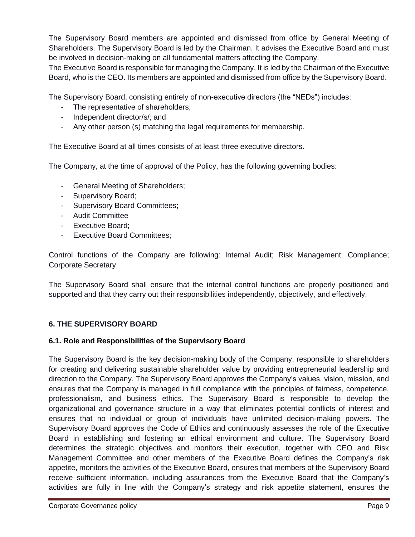The Supervisory Board members are appointed and dismissed from office by General Meeting of Shareholders. The Supervisory Board is led by the Chairman. It advises the Executive Board and must be involved in decision-making on all fundamental matters affecting the Company.

The Executive Board is responsible for managing the Company. It is led by the Chairman of the Executive Board, who is the CEO. Its members are appointed and dismissed from office by the Supervisory Board.

The Supervisory Board, consisting entirely of non-executive directors (the "NEDs") includes:

- The representative of shareholders;
- Independent director/s/; and
- Any other person (s) matching the legal requirements for membership.

The Executive Board at all times consists of at least three executive directors.

The Company, at the time of approval of the Policy, has the following governing bodies:

- General Meeting of Shareholders;
- Supervisory Board;
- Supervisory Board Committees;
- Audit Committee
- Executive Board;
- Executive Board Committees;

Control functions of the Company are following: Internal Audit; Risk Management; Compliance; Corporate Secretary.

The Supervisory Board shall ensure that the internal control functions are properly positioned and supported and that they carry out their responsibilities independently, objectively, and effectively.

# <span id="page-8-0"></span>**6. THE SUPERVISORY BOARD**

# <span id="page-8-1"></span>**6.1. Role and Responsibilities of the Supervisory Board**

The Supervisory Board is the key decision-making body of the Company, responsible to shareholders for creating and delivering sustainable shareholder value by providing entrepreneurial leadership and direction to the Company. The Supervisory Board approves the Company's values, vision, mission, and ensures that the Company is managed in full compliance with the principles of fairness, competence, professionalism, and business ethics. The Supervisory Board is responsible to develop the organizational and governance structure in a way that eliminates potential conflicts of interest and ensures that no individual or group of individuals have unlimited decision-making powers. The Supervisory Board approves the Code of Ethics and continuously assesses the role of the Executive Board in establishing and fostering an ethical environment and culture. The Supervisory Board determines the strategic objectives and monitors their execution, together with CEO and Risk Management Committee and other members of the Executive Board defines the Company's risk appetite, monitors the activities of the Executive Board, ensures that members of the Supervisory Board receive sufficient information, including assurances from the Executive Board that the Company's activities are fully in line with the Company's strategy and risk appetite statement, ensures the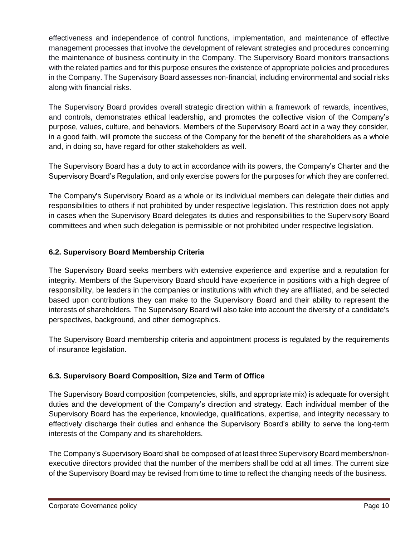effectiveness and independence of control functions, implementation, and maintenance of effective management processes that involve the development of relevant strategies and procedures concerning the maintenance of business continuity in the Company. The Supervisory Board monitors transactions with the related parties and for this purpose ensures the existence of appropriate policies and procedures in the Company. The Supervisory Board assesses non-financial, including environmental and social risks along with financial risks.

The Supervisory Board provides overall strategic direction within a framework of rewards, incentives, and controls, demonstrates ethical leadership, and promotes the collective vision of the Company's purpose, values, culture, and behaviors. Members of the Supervisory Board act in a way they consider, in a good faith, will promote the success of the Company for the benefit of the shareholders as a whole and, in doing so, have regard for other stakeholders as well.

The Supervisory Board has a duty to act in accordance with its powers, the Company's Charter and the Supervisory Board's Regulation, and only exercise powers for the purposes for which they are conferred.

The Company's Supervisory Board as a whole or its individual members can delegate their duties and responsibilities to others if not prohibited by under respective legislation. This restriction does not apply in cases when the Supervisory Board delegates its duties and responsibilities to the Supervisory Board committees and when such delegation is permissible or not prohibited under respective legislation.

# <span id="page-9-0"></span>**6.2. Supervisory Board Membership Criteria**

The Supervisory Board seeks members with extensive experience and expertise and a reputation for integrity. Members of the Supervisory Board should have experience in positions with a high degree of responsibility, be leaders in the companies or institutions with which they are affiliated, and be selected based upon contributions they can make to the Supervisory Board and their ability to represent the interests of shareholders. The Supervisory Board will also take into account the diversity of a candidate's perspectives, background, and other demographics.

The Supervisory Board membership criteria and appointment process is regulated by the requirements of insurance legislation.

# <span id="page-9-1"></span>**6.3. Supervisory Board Composition, Size and Term of Office**

The Supervisory Board composition (competencies, skills, and appropriate mix) is adequate for oversight duties and the development of the Company's direction and strategy. Each individual member of the Supervisory Board has the experience, knowledge, qualifications, expertise, and integrity necessary to effectively discharge their duties and enhance the Supervisory Board's ability to serve the long-term interests of the Company and its shareholders.

The Company's Supervisory Board shall be composed of at least three Supervisory Board members/nonexecutive directors provided that the number of the members shall be odd at all times. The current size of the Supervisory Board may be revised from time to time to reflect the changing needs of the business.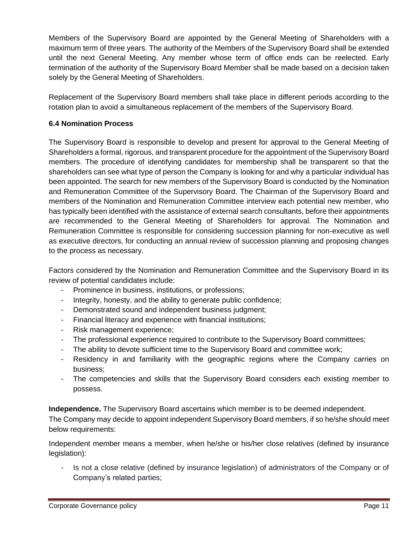Members of the Supervisory Board are appointed by the General Meeting of Shareholders with a maximum term of three years. The authority of the Members of the Supervisory Board shall be extended until the next General Meeting. Any member whose term of office ends can be reelected. Early termination of the authority of the Supervisory Board Member shall be made based on a decision taken solely by the General Meeting of Shareholders.

Replacement of the Supervisory Board members shall take place in different periods according to the rotation plan to avoid a simultaneous replacement of the members of the Supervisory Board.

## <span id="page-10-0"></span>**6.4 Nomination Process**

The Supervisory Board is responsible to develop and present for approval to the General Meeting of Shareholders a formal, rigorous, and transparent procedure for the appointment of the Supervisory Board members. The procedure of identifying candidates for membership shall be transparent so that the shareholders can see what type of person the Company is looking for and why a particular individual has been appointed. The search for new members of the Supervisory Board is conducted by the Nomination and Remuneration Committee of the Supervisory Board. The Chairman of the Supervisory Board and members of the Nomination and Remuneration Committee interview each potential new member, who has typically been identified with the assistance of external search consultants, before their appointments are recommended to the General Meeting of Shareholders for approval. The Nomination and Remuneration Committee is responsible for considering succession planning for non-executive as well as executive directors, for conducting an annual review of succession planning and proposing changes to the process as necessary.

Factors considered by the Nomination and Remuneration Committee and the Supervisory Board in its review of potential candidates include:

- Prominence in business, institutions, or professions;
- Integrity, honesty, and the ability to generate public confidence;
- Demonstrated sound and independent business judgment;
- Financial literacy and experience with financial institutions;
- Risk management experience;
- The professional experience required to contribute to the Supervisory Board committees;
- The ability to devote sufficient time to the Supervisory Board and committee work;
- Residency in and familiarity with the geographic regions where the Company carries on business;
- The competencies and skills that the Supervisory Board considers each existing member to possess.

**Independence.** The Supervisory Board ascertains which member is to be deemed independent.

The Company may decide to appoint independent Supervisory Board members, if so he/she should meet below requirements:

Independent member means a member, when he/she or his/her close relatives (defined by insurance legislation):

Is not a close relative (defined by insurance legislation) of administrators of the Company or of Company's related parties;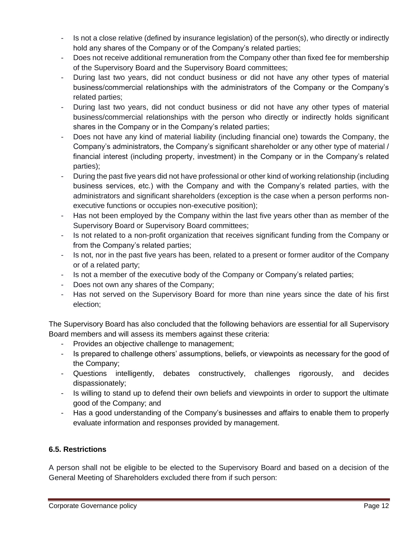- Is not a close relative (defined by insurance legislation) of the person(s), who directly or indirectly hold any shares of the Company or of the Company's related parties;
- Does not receive additional remuneration from the Company other than fixed fee for membership of the Supervisory Board and the Supervisory Board committees;
- During last two years, did not conduct business or did not have any other types of material business/commercial relationships with the administrators of the Company or the Company's related parties;
- During last two years, did not conduct business or did not have any other types of material business/commercial relationships with the person who directly or indirectly holds significant shares in the Company or in the Company's related parties;
- Does not have any kind of material liability (including financial one) towards the Company, the Company's administrators, the Company's significant shareholder or any other type of material / financial interest (including property, investment) in the Company or in the Company's related parties);
- During the past five years did not have professional or other kind of working relationship (including business services, etc.) with the Company and with the Company's related parties, with the administrators and significant shareholders (exception is the case when a person performs nonexecutive functions or occupies non-executive position);
- Has not been employed by the Company within the last five years other than as member of the Supervisory Board or Supervisory Board committees;
- Is not related to a non-profit organization that receives significant funding from the Company or from the Company's related parties;
- Is not, nor in the past five years has been, related to a present or former auditor of the Company or of a related party;
- Is not a member of the executive body of the Company or Company's related parties;
- Does not own any shares of the Company;
- Has not served on the Supervisory Board for more than nine years since the date of his first election;

The Supervisory Board has also concluded that the following behaviors are essential for all Supervisory Board members and will assess its members against these criteria:

- Provides an objective challenge to management;
- Is prepared to challenge others' assumptions, beliefs, or viewpoints as necessary for the good of the Company;
- Questions intelligently, debates constructively, challenges rigorously, and decides dispassionately;
- Is willing to stand up to defend their own beliefs and viewpoints in order to support the ultimate good of the Company; and
- Has a good understanding of the Company's businesses and affairs to enable them to properly evaluate information and responses provided by management.

# <span id="page-11-0"></span>**6.5. Restrictions**

A person shall not be eligible to be elected to the Supervisory Board and based on a decision of the General Meeting of Shareholders excluded there from if such person: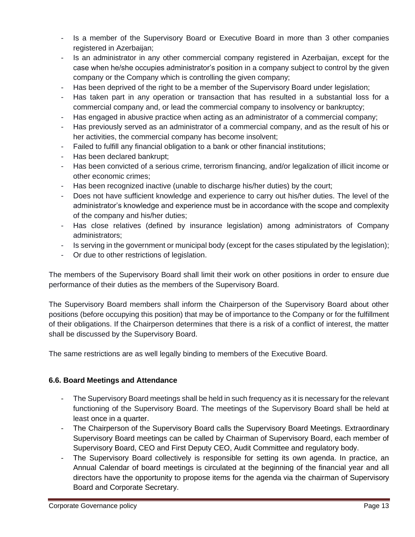- Is a member of the Supervisory Board or Executive Board in more than 3 other companies registered in Azerbaijan;
- Is an administrator in any other commercial company registered in Azerbaijan, except for the case when he/she occupies administrator's position in a company subject to control by the given company or the Company which is controlling the given company;
- Has been deprived of the right to be a member of the Supervisory Board under legislation;
- Has taken part in any operation or transaction that has resulted in a substantial loss for a commercial company and, or lead the commercial company to insolvency or bankruptcy;
- Has engaged in abusive practice when acting as an administrator of a commercial company;
- Has previously served as an administrator of a commercial company, and as the result of his or her activities, the commercial company has become insolvent;
- Failed to fulfill any financial obligation to a bank or other financial institutions;
- Has been declared bankrupt;
- Has been convicted of a serious crime, terrorism financing, and/or legalization of illicit income or other economic crimes;
- Has been recognized inactive (unable to discharge his/her duties) by the court;
- Does not have sufficient knowledge and experience to carry out his/her duties. The level of the administrator's knowledge and experience must be in accordance with the scope and complexity of the company and his/her duties;
- Has close relatives (defined by insurance legislation) among administrators of Company administrators;
- Is serving in the government or municipal body (except for the cases stipulated by the legislation);
- Or due to other restrictions of legislation.

The members of the Supervisory Board shall limit their work on other positions in order to ensure due performance of their duties as the members of the Supervisory Board.

The Supervisory Board members shall inform the Chairperson of the Supervisory Board about other positions (before occupying this position) that may be of importance to the Company or for the fulfillment of their obligations. If the Chairperson determines that there is a risk of a conflict of interest, the matter shall be discussed by the Supervisory Board.

The same restrictions are as well legally binding to members of the Executive Board.

#### <span id="page-12-0"></span>**6.6. Board Meetings and Attendance**

- The Supervisory Board meetings shall be held in such frequency as it is necessary for the relevant functioning of the Supervisory Board. The meetings of the Supervisory Board shall be held at least once in a quarter.
- The Chairperson of the Supervisory Board calls the Supervisory Board Meetings. Extraordinary Supervisory Board meetings can be called by Chairman of Supervisory Board, each member of Supervisory Board, CEO and First Deputy CEO, Audit Committee and regulatory body.
- The Supervisory Board collectively is responsible for setting its own agenda. In practice, an Annual Calendar of board meetings is circulated at the beginning of the financial year and all directors have the opportunity to propose items for the agenda via the chairman of Supervisory Board and Corporate Secretary.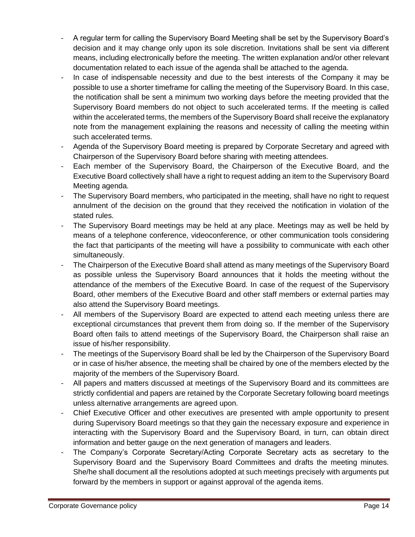- A regular term for calling the Supervisory Board Meeting shall be set by the Supervisory Board's decision and it may change only upon its sole discretion. Invitations shall be sent via different means, including electronically before the meeting. The written explanation and/or other relevant documentation related to each issue of the agenda shall be attached to the agenda.
- In case of indispensable necessity and due to the best interests of the Company it may be possible to use a shorter timeframe for calling the meeting of the Supervisory Board. In this case, the notification shall be sent a minimum two working days before the meeting provided that the Supervisory Board members do not object to such accelerated terms. If the meeting is called within the accelerated terms, the members of the Supervisory Board shall receive the explanatory note from the management explaining the reasons and necessity of calling the meeting within such accelerated terms.
- Agenda of the Supervisory Board meeting is prepared by Corporate Secretary and agreed with Chairperson of the Supervisory Board before sharing with meeting attendees.
- Each member of the Supervisory Board, the Chairperson of the Executive Board, and the Executive Board collectively shall have a right to request adding an item to the Supervisory Board Meeting agenda.
- The Supervisory Board members, who participated in the meeting, shall have no right to request annulment of the decision on the ground that they received the notification in violation of the stated rules.
- The Supervisory Board meetings may be held at any place. Meetings may as well be held by means of a telephone conference, videoconference, or other communication tools considering the fact that participants of the meeting will have a possibility to communicate with each other simultaneously.
- The Chairperson of the Executive Board shall attend as many meetings of the Supervisory Board as possible unless the Supervisory Board announces that it holds the meeting without the attendance of the members of the Executive Board. In case of the request of the Supervisory Board, other members of the Executive Board and other staff members or external parties may also attend the Supervisory Board meetings.
- All members of the Supervisory Board are expected to attend each meeting unless there are exceptional circumstances that prevent them from doing so. If the member of the Supervisory Board often fails to attend meetings of the Supervisory Board, the Chairperson shall raise an issue of his/her responsibility.
- The meetings of the Supervisory Board shall be led by the Chairperson of the Supervisory Board or in case of his/her absence, the meeting shall be chaired by one of the members elected by the majority of the members of the Supervisory Board.
- All papers and matters discussed at meetings of the Supervisory Board and its committees are strictly confidential and papers are retained by the Corporate Secretary following board meetings unless alternative arrangements are agreed upon.
- Chief Executive Officer and other executives are presented with ample opportunity to present during Supervisory Board meetings so that they gain the necessary exposure and experience in interacting with the Supervisory Board and the Supervisory Board, in turn, can obtain direct information and better gauge on the next generation of managers and leaders.
- The Company's Corporate Secretary/Acting Corporate Secretary acts as secretary to the Supervisory Board and the Supervisory Board Committees and drafts the meeting minutes. She/he shall document all the resolutions adopted at such meetings precisely with arguments put forward by the members in support or against approval of the agenda items.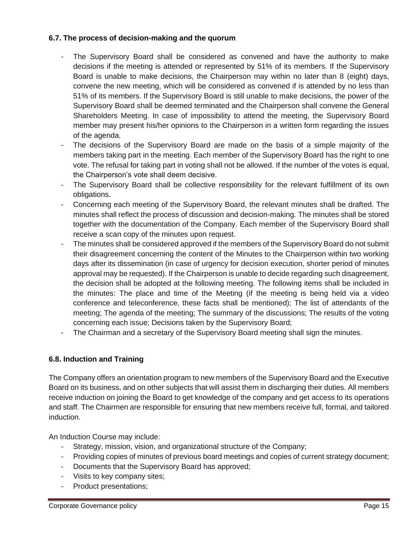## <span id="page-14-0"></span>**6.7. The process of decision-making and the quorum**

- The Supervisory Board shall be considered as convened and have the authority to make decisions if the meeting is attended or represented by 51% of its members. If the Supervisory Board is unable to make decisions, the Chairperson may within no later than 8 (eight) days, convene the new meeting, which will be considered as convened if is attended by no less than 51% of its members. If the Supervisory Board is still unable to make decisions, the power of the Supervisory Board shall be deemed terminated and the Chairperson shall convene the General Shareholders Meeting. In case of impossibility to attend the meeting, the Supervisory Board member may present his/her opinions to the Chairperson in a written form regarding the issues of the agenda.
- The decisions of the Supervisory Board are made on the basis of a simple majority of the members taking part in the meeting. Each member of the Supervisory Board has the right to one vote. The refusal for taking part in voting shall not be allowed. If the number of the votes is equal, the Chairperson's vote shall deem decisive.
- The Supervisory Board shall be collective responsibility for the relevant fulfillment of its own obligations.
- Concerning each meeting of the Supervisory Board, the relevant minutes shall be drafted. The minutes shall reflect the process of discussion and decision-making. The minutes shall be stored together with the documentation of the Company. Each member of the Supervisory Board shall receive a scan copy of the minutes upon request.
- The minutes shall be considered approved if the members of the Supervisory Board do not submit their disagreement concerning the content of the Minutes to the Chairperson within two working days after its dissemination (in case of urgency for decision execution, shorter period of minutes approval may be requested). If the Chairperson is unable to decide regarding such disagreement, the decision shall be adopted at the following meeting. The following items shall be included in the minutes: The place and time of the Meeting (if the meeting is being held via a video conference and teleconference, these facts shall be mentioned); The list of attendants of the meeting; The agenda of the meeting; The summary of the discussions; The results of the voting concerning each issue; Decisions taken by the Supervisory Board;
- The Chairman and a secretary of the Supervisory Board meeting shall sign the minutes.

# <span id="page-14-1"></span>**6.8. Induction and Training**

The Company offers an orientation program to new members of the Supervisory Board and the Executive Board on its business, and on other subjects that will assist them in discharging their duties. All members receive induction on joining the Board to get knowledge of the company and get access to its operations and staff. The Chairmen are responsible for ensuring that new members receive full, formal, and tailored induction.

An Induction Course may include:

- Strategy, mission, vision, and organizational structure of the Company;
- Providing copies of minutes of previous board meetings and copies of current strategy document;
- Documents that the Supervisory Board has approved;
- Visits to key company sites;
- Product presentations;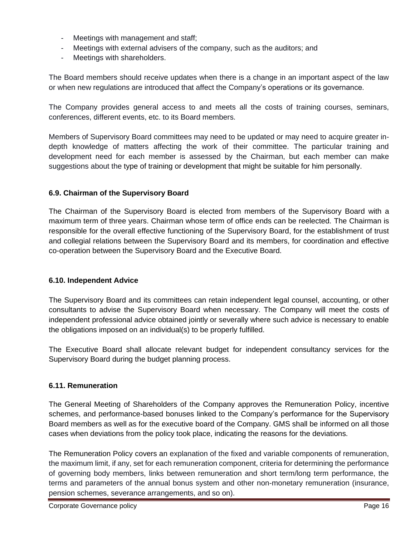- Meetings with management and staff;
- Meetings with external advisers of the company, such as the auditors; and
- Meetings with shareholders.

The Board members should receive updates when there is a change in an important aspect of the law or when new regulations are introduced that affect the Company's operations or its governance.

The Company provides general access to and meets all the costs of training courses, seminars, conferences, different events, etc. to its Board members.

Members of Supervisory Board committees may need to be updated or may need to acquire greater indepth knowledge of matters affecting the work of their committee. The particular training and development need for each member is assessed by the Chairman, but each member can make suggestions about the type of training or development that might be suitable for him personally.

## <span id="page-15-0"></span>**6.9. Chairman of the Supervisory Board**

The Chairman of the Supervisory Board is elected from members of the Supervisory Board with a maximum term of three years. Chairman whose term of office ends can be reelected. The Chairman is responsible for the overall effective functioning of the Supervisory Board, for the establishment of trust and collegial relations between the Supervisory Board and its members, for coordination and effective co-operation between the Supervisory Board and the Executive Board.

#### <span id="page-15-1"></span>**6.10. Independent Advice**

The Supervisory Board and its committees can retain independent legal counsel, accounting, or other consultants to advise the Supervisory Board when necessary. The Company will meet the costs of independent professional advice obtained jointly or severally where such advice is necessary to enable the obligations imposed on an individual(s) to be properly fulfilled.

The Executive Board shall allocate relevant budget for independent consultancy services for the Supervisory Board during the budget planning process.

#### <span id="page-15-2"></span>**6.11. Remuneration**

The General Meeting of Shareholders of the Company approves the Remuneration Policy, incentive schemes, and performance-based bonuses linked to the Company's performance for the Supervisory Board members as well as for the executive board of the Company. GMS shall be informed on all those cases when deviations from the policy took place, indicating the reasons for the deviations.

The Remuneration Policy covers an explanation of the fixed and variable components of remuneration, the maximum limit, if any, set for each remuneration component, criteria for determining the performance of governing body members, links between remuneration and short term/long term performance, the terms and parameters of the annual bonus system and other non-monetary remuneration (insurance, pension schemes, severance arrangements, and so on).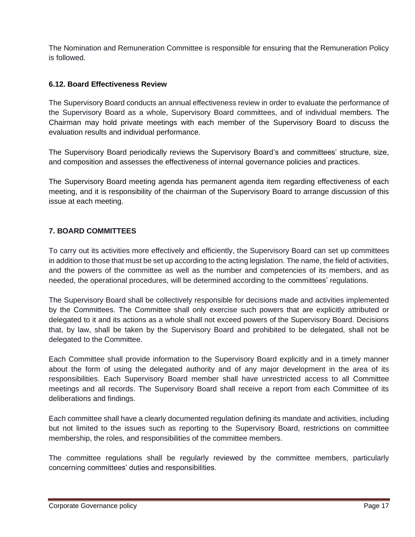The Nomination and Remuneration Committee is responsible for ensuring that the Remuneration Policy is followed.

### <span id="page-16-0"></span>**6.12. Board Effectiveness Review**

The Supervisory Board conducts an annual effectiveness review in order to evaluate the performance of the Supervisory Board as a whole, Supervisory Board committees, and of individual members. The Chairman may hold private meetings with each member of the Supervisory Board to discuss the evaluation results and individual performance.

The Supervisory Board periodically reviews the Supervisory Board's and committees' structure, size, and composition and assesses the effectiveness of internal governance policies and practices.

The Supervisory Board meeting agenda has permanent agenda item regarding effectiveness of each meeting, and it is responsibility of the chairman of the Supervisory Board to arrange discussion of this issue at each meeting.

# <span id="page-16-1"></span>**7. BOARD COMMITTEES**

To carry out its activities more effectively and efficiently, the Supervisory Board can set up committees in addition to those that must be set up according to the acting legislation. The name, the field of activities, and the powers of the committee as well as the number and competencies of its members, and as needed, the operational procedures, will be determined according to the committees' regulations.

The Supervisory Board shall be collectively responsible for decisions made and activities implemented by the Committees. The Committee shall only exercise such powers that are explicitly attributed or delegated to it and its actions as a whole shall not exceed powers of the Supervisory Board. Decisions that, by law, shall be taken by the Supervisory Board and prohibited to be delegated, shall not be delegated to the Committee.

Each Committee shall provide information to the Supervisory Board explicitly and in a timely manner about the form of using the delegated authority and of any major development in the area of its responsibilities. Each Supervisory Board member shall have unrestricted access to all Committee meetings and all records. The Supervisory Board shall receive a report from each Committee of its deliberations and findings.

Each committee shall have a clearly documented regulation defining its mandate and activities, including but not limited to the issues such as reporting to the Supervisory Board, restrictions on committee membership, the roles, and responsibilities of the committee members.

The committee regulations shall be regularly reviewed by the committee members, particularly concerning committees' duties and responsibilities.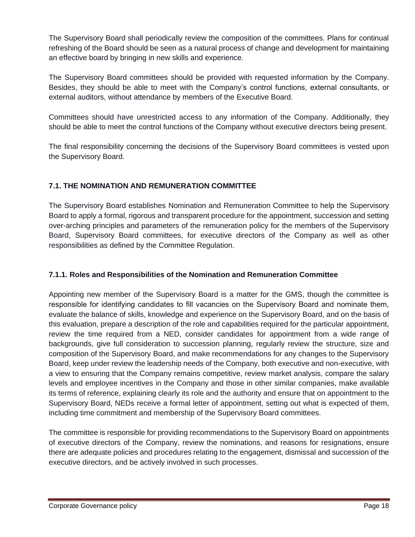The Supervisory Board shall periodically review the composition of the committees. Plans for continual refreshing of the Board should be seen as a natural process of change and development for maintaining an effective board by bringing in new skills and experience.

The Supervisory Board committees should be provided with requested information by the Company. Besides, they should be able to meet with the Company's control functions, external consultants, or external auditors, without attendance by members of the Executive Board.

Committees should have unrestricted access to any information of the Company. Additionally, they should be able to meet the control functions of the Company without executive directors being present.

The final responsibility concerning the decisions of the Supervisory Board committees is vested upon the Supervisory Board.

# <span id="page-17-0"></span>**7.1. THE NOMINATION AND REMUNERATION COMMITTEE**

The Supervisory Board establishes Nomination and Remuneration Committee to help the Supervisory Board to apply a formal, rigorous and transparent procedure for the appointment, succession and setting over-arching principles and parameters of the remuneration policy for the members of the Supervisory Board, Supervisory Board committees, for executive directors of the Company as well as other responsibilities as defined by the Committee Regulation.

# <span id="page-17-1"></span>**7.1.1. Roles and Responsibilities of the Nomination and Remuneration Committee**

Appointing new member of the Supervisory Board is a matter for the GMS, though the committee is responsible for identifying candidates to fill vacancies on the Supervisory Board and nominate them, evaluate the balance of skills, knowledge and experience on the Supervisory Board, and on the basis of this evaluation, prepare a description of the role and capabilities required for the particular appointment, review the time required from a NED, consider candidates for appointment from a wide range of backgrounds, give full consideration to succession planning, regularly review the structure, size and composition of the Supervisory Board, and make recommendations for any changes to the Supervisory Board, keep under review the leadership needs of the Company, both executive and non-executive, with a view to ensuring that the Company remains competitive, review market analysis, compare the salary levels and employee incentives in the Company and those in other similar companies, make available its terms of reference, explaining clearly its role and the authority and ensure that on appointment to the Supervisory Board, NEDs receive a formal letter of appointment, setting out what is expected of them, including time commitment and membership of the Supervisory Board committees.

The committee is responsible for providing recommendations to the Supervisory Board on appointments of executive directors of the Company, review the nominations, and reasons for resignations, ensure there are adequate policies and procedures relating to the engagement, dismissal and succession of the executive directors, and be actively involved in such processes.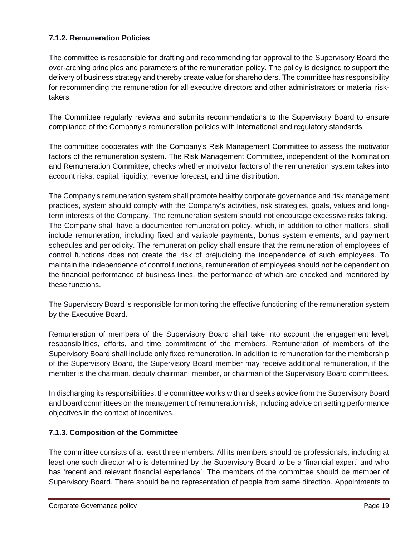# <span id="page-18-0"></span>**7.1.2. Remuneration Policies**

The committee is responsible for drafting and recommending for approval to the Supervisory Board the over-arching principles and parameters of the remuneration policy. The policy is designed to support the delivery of business strategy and thereby create value for shareholders. The committee has responsibility for recommending the remuneration for all executive directors and other administrators or material risktakers.

The Committee regularly reviews and submits recommendations to the Supervisory Board to ensure compliance of the Company's remuneration policies with international and regulatory standards.

The committee cooperates with the Company's Risk Management Committee to assess the motivator factors of the remuneration system. The Risk Management Committee, independent of the Nomination and Remuneration Committee, checks whether motivator factors of the remuneration system takes into account risks, capital, liquidity, revenue forecast, and time distribution.

The Company's remuneration system shall promote healthy corporate governance and risk management practices, system should comply with the Company's activities, risk strategies, goals, values and longterm interests of the Company. The remuneration system should not encourage excessive risks taking. The Company shall have a documented remuneration policy, which, in addition to other matters, shall include remuneration, including fixed and variable payments, bonus system elements, and payment schedules and periodicity. The remuneration policy shall ensure that the remuneration of employees of control functions does not create the risk of prejudicing the independence of such employees. To maintain the independence of control functions, remuneration of employees should not be dependent on the financial performance of business lines, the performance of which are checked and monitored by these functions.

The Supervisory Board is responsible for monitoring the effective functioning of the remuneration system by the Executive Board.

Remuneration of members of the Supervisory Board shall take into account the engagement level, responsibilities, efforts, and time commitment of the members. Remuneration of members of the Supervisory Board shall include only fixed remuneration. In addition to remuneration for the membership of the Supervisory Board, the Supervisory Board member may receive additional remuneration, if the member is the chairman, deputy chairman, member, or chairman of the Supervisory Board committees.

In discharging its responsibilities, the committee works with and seeks advice from the Supervisory Board and board committees on the management of remuneration risk, including advice on setting performance objectives in the context of incentives.

# <span id="page-18-1"></span>**7.1.3. Composition of the Committee**

The committee consists of at least three members. All its members should be professionals, including at least one such director who is determined by the Supervisory Board to be a 'financial expert' and who has 'recent and relevant financial experience'. The members of the committee should be member of Supervisory Board. There should be no representation of people from same direction. Appointments to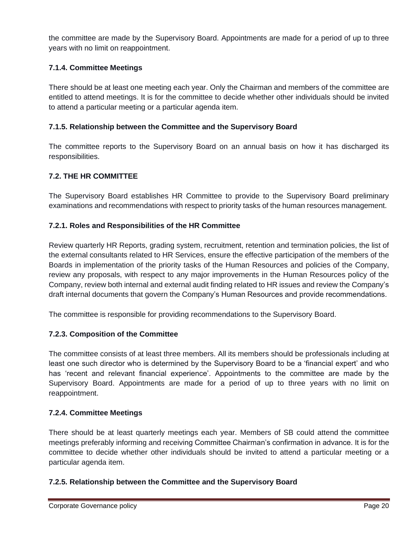the committee are made by the Supervisory Board. Appointments are made for a period of up to three years with no limit on reappointment.

# <span id="page-19-0"></span>**7.1.4. Committee Meetings**

There should be at least one meeting each year. Only the Chairman and members of the committee are entitled to attend meetings. It is for the committee to decide whether other individuals should be invited to attend a particular meeting or a particular agenda item.

# <span id="page-19-1"></span>**7.1.5. Relationship between the Committee and the Supervisory Board**

The committee reports to the Supervisory Board on an annual basis on how it has discharged its responsibilities.

# <span id="page-19-2"></span>**7.2. THE HR COMMITTEE**

The Supervisory Board establishes HR Committee to provide to the Supervisory Board preliminary examinations and recommendations with respect to priority tasks of the human resources management.

## <span id="page-19-3"></span>**7.2.1. Roles and Responsibilities of the HR Committee**

Review quarterly HR Reports, grading system, recruitment, retention and termination policies, the list of the external consultants related to HR Services, ensure the effective participation of the members of the Boards in implementation of the priority tasks of the Human Resources and policies of the Company, review any proposals, with respect to any major improvements in the Human Resources policy of the Company, review both internal and external audit finding related to HR issues and review the Company's draft internal documents that govern the Company's Human Resources and provide recommendations.

The committee is responsible for providing recommendations to the Supervisory Board.

#### <span id="page-19-4"></span>**7.2.3. Composition of the Committee**

The committee consists of at least three members. All its members should be professionals including at least one such director who is determined by the Supervisory Board to be a 'financial expert' and who has 'recent and relevant financial experience'. Appointments to the committee are made by the Supervisory Board. Appointments are made for a period of up to three years with no limit on reappointment.

#### <span id="page-19-5"></span>**7.2.4. Committee Meetings**

There should be at least quarterly meetings each year. Members of SB could attend the committee meetings preferably informing and receiving Committee Chairman's confirmation in advance. It is for the committee to decide whether other individuals should be invited to attend a particular meeting or a particular agenda item.

#### <span id="page-19-6"></span>**7.2.5. Relationship between the Committee and the Supervisory Board**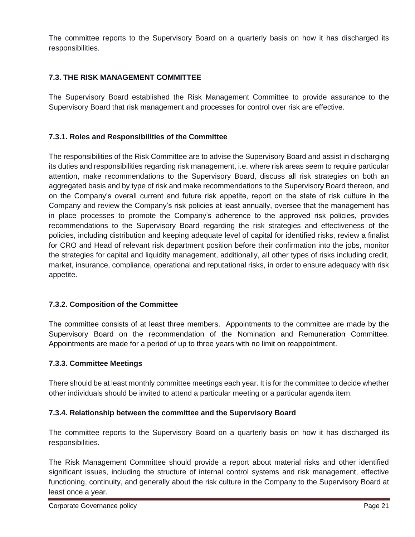The committee reports to the Supervisory Board on a quarterly basis on how it has discharged its responsibilities.

# <span id="page-20-0"></span>**7.3. THE RISK MANAGEMENT COMMITTEE**

The Supervisory Board established the Risk Management Committee to provide assurance to the Supervisory Board that risk management and processes for control over risk are effective.

# <span id="page-20-1"></span>**7.3.1. Roles and Responsibilities of the Committee**

The responsibilities of the Risk Committee are to advise the Supervisory Board and assist in discharging its duties and responsibilities regarding risk management, i.e. where risk areas seem to require particular attention, make recommendations to the Supervisory Board, discuss all risk strategies on both an aggregated basis and by type of risk and make recommendations to the Supervisory Board thereon, and on the Company's overall current and future risk appetite, report on the state of risk culture in the Company and review the Company's risk policies at least annually, oversee that the management has in place processes to promote the Company's adherence to the approved risk policies, provides recommendations to the Supervisory Board regarding the risk strategies and effectiveness of the policies, including distribution and keeping adequate level of capital for identified risks, review a finalist for CRO and Head of relevant risk department position before their confirmation into the jobs, monitor the strategies for capital and liquidity management, additionally, all other types of risks including credit, market, insurance, compliance, operational and reputational risks, in order to ensure adequacy with risk appetite.

# <span id="page-20-2"></span>**7.3.2. Composition of the Committee**

The committee consists of at least three members. Appointments to the committee are made by the Supervisory Board on the recommendation of the Nomination and Remuneration Committee. Appointments are made for a period of up to three years with no limit on reappointment.

# <span id="page-20-3"></span>**7.3.3. Committee Meetings**

There should be at least monthly committee meetings each year. It is for the committee to decide whether other individuals should be invited to attend a particular meeting or a particular agenda item.

# <span id="page-20-4"></span>**7.3.4. Relationship between the committee and the Supervisory Board**

The committee reports to the Supervisory Board on a quarterly basis on how it has discharged its responsibilities.

The Risk Management Committee should provide a report about material risks and other identified significant issues, including the structure of internal control systems and risk management, effective functioning, continuity, and generally about the risk culture in the Company to the Supervisory Board at least once a year.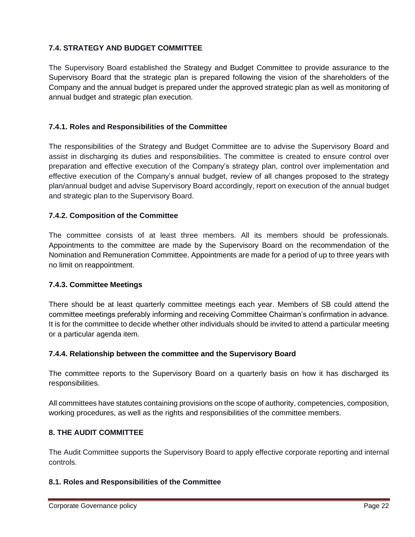# <span id="page-21-0"></span>**7.4. STRATEGY AND BUDGET COMMITTEE**

The Supervisory Board established the Strategy and Budget Committee to provide assurance to the Supervisory Board that the strategic plan is prepared following the vision of the shareholders of the Company and the annual budget is prepared under the approved strategic plan as well as monitoring of annual budget and strategic plan execution.

# <span id="page-21-1"></span>**7.4.1. Roles and Responsibilities of the Committee**

The responsibilities of the Strategy and Budget Committee are to advise the Supervisory Board and assist in discharging its duties and responsibilities. The committee is created to ensure control over preparation and effective execution of the Company's strategy plan, control over implementation and effective execution of the Company's annual budget, review of all changes proposed to the strategy plan/annual budget and advise Supervisory Board accordingly, report on execution of the annual budget and strategic plan to the Supervisory Board.

## <span id="page-21-2"></span>**7.4.2. Composition of the Committee**

The committee consists of at least three members. All its members should be professionals. Appointments to the committee are made by the Supervisory Board on the recommendation of the Nomination and Remuneration Committee. Appointments are made for a period of up to three years with no limit on reappointment.

#### <span id="page-21-3"></span>**7.4.3. Committee Meetings**

There should be at least quarterly committee meetings each year. Members of SB could attend the committee meetings preferably informing and receiving Committee Chairman's confirmation in advance. It is for the committee to decide whether other individuals should be invited to attend a particular meeting or a particular agenda item.

#### <span id="page-21-4"></span>**7.4.4. Relationship between the committee and the Supervisory Board**

The committee reports to the Supervisory Board on a quarterly basis on how it has discharged its responsibilities.

All committees have statutes containing provisions on the scope of authority, competencies, composition, working procedures, as well as the rights and responsibilities of the committee members.

#### <span id="page-21-5"></span>**8. THE AUDIT COMMITTEE**

The Audit Committee supports the Supervisory Board to apply effective corporate reporting and internal controls.

#### <span id="page-21-6"></span>**8.1. Roles and Responsibilities of the Committee**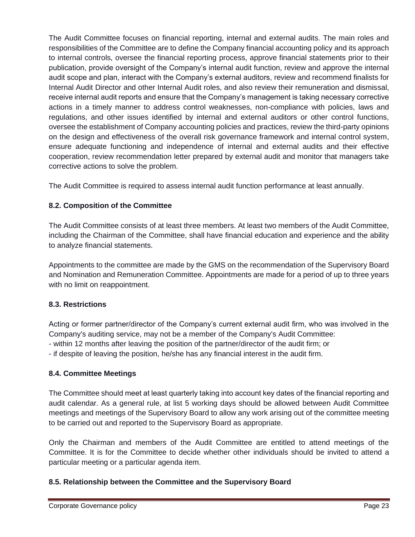The Audit Committee focuses on financial reporting, internal and external audits. The main roles and responsibilities of the Committee are to define the Company financial accounting policy and its approach to internal controls, oversee the financial reporting process, approve financial statements prior to their publication, provide oversight of the Company's internal audit function, review and approve the internal audit scope and plan, interact with the Company's external auditors, review and recommend finalists for Internal Audit Director and other Internal Audit roles, and also review their remuneration and dismissal, receive internal audit reports and ensure that the Company's management is taking necessary corrective actions in a timely manner to address control weaknesses, non-compliance with policies, laws and regulations, and other issues identified by internal and external auditors or other control functions, oversee the establishment of Company accounting policies and practices, review the third-party opinions on the design and effectiveness of the overall risk governance framework and internal control system, ensure adequate functioning and independence of internal and external audits and their effective cooperation, review recommendation letter prepared by external audit and monitor that managers take corrective actions to solve the problem.

The Audit Committee is required to assess internal audit function performance at least annually.

# <span id="page-22-0"></span>**8.2. Composition of the Committee**

The Audit Committee consists of at least three members. At least two members of the Audit Committee, including the Chairman of the Committee, shall have financial education and experience and the ability to analyze financial statements.

Appointments to the committee are made by the GMS on the recommendation of the Supervisory Board and Nomination and Remuneration Committee. Appointments are made for a period of up to three years with no limit on reappointment.

# <span id="page-22-1"></span>**8.3. Restrictions**

Acting or former partner/director of the Company's current external audit firm, who was involved in the Company's auditing service, may not be a member of the Company's Audit Committee: - within 12 months after leaving the position of the partner/director of the audit firm; or

- if despite of leaving the position, he/she has any financial interest in the audit firm.

# <span id="page-22-2"></span>**8.4. Committee Meetings**

The Committee should meet at least quarterly taking into account key dates of the financial reporting and audit calendar. As a general rule, at list 5 working days should be allowed between Audit Committee meetings and meetings of the Supervisory Board to allow any work arising out of the committee meeting to be carried out and reported to the Supervisory Board as appropriate.

Only the Chairman and members of the Audit Committee are entitled to attend meetings of the Committee. It is for the Committee to decide whether other individuals should be invited to attend a particular meeting or a particular agenda item.

# <span id="page-22-3"></span>**8.5. Relationship between the Committee and the Supervisory Board**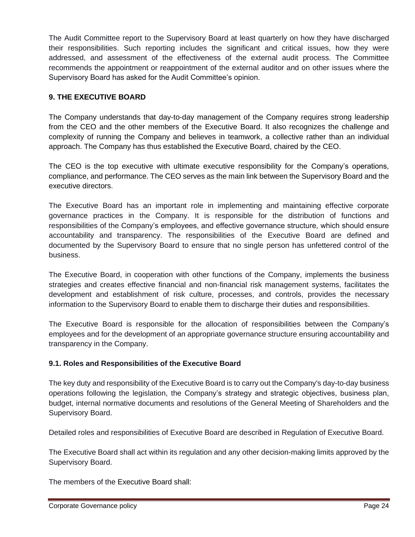The Audit Committee report to the Supervisory Board at least quarterly on how they have discharged their responsibilities. Such reporting includes the significant and critical issues, how they were addressed, and assessment of the effectiveness of the external audit process. The Committee recommends the appointment or reappointment of the external auditor and on other issues where the Supervisory Board has asked for the Audit Committee's opinion.

# <span id="page-23-0"></span>**9. THE EXECUTIVE BOARD**

The Company understands that day-to-day management of the Company requires strong leadership from the CEO and the other members of the Executive Board. It also recognizes the challenge and complexity of running the Company and believes in teamwork, a collective rather than an individual approach. The Company has thus established the Executive Board, chaired by the CEO.

The CEO is the top executive with ultimate executive responsibility for the Company's operations, compliance, and performance. The CEO serves as the main link between the Supervisory Board and the executive directors.

The Executive Board has an important role in implementing and maintaining effective corporate governance practices in the Company. It is responsible for the distribution of functions and responsibilities of the Company's employees, and effective governance structure, which should ensure accountability and transparency. The responsibilities of the Executive Board are defined and documented by the Supervisory Board to ensure that no single person has unfettered control of the business.

The Executive Board, in cooperation with other functions of the Company, implements the business strategies and creates effective financial and non-financial risk management systems, facilitates the development and establishment of risk culture, processes, and controls, provides the necessary information to the Supervisory Board to enable them to discharge their duties and responsibilities.

The Executive Board is responsible for the allocation of responsibilities between the Company's employees and for the development of an appropriate governance structure ensuring accountability and transparency in the Company.

# <span id="page-23-1"></span>**9.1. Roles and Responsibilities of the Executive Board**

The key duty and responsibility of the Executive Board is to carry out the Company's day-to-day business operations following the legislation, the Company's strategy and strategic objectives, business plan, budget, internal normative documents and resolutions of the General Meeting of Shareholders and the Supervisory Board.

Detailed roles and responsibilities of Executive Board are described in Regulation of Executive Board.

The Executive Board shall act within its regulation and any other decision-making limits approved by the Supervisory Board.

The members of the Executive Board shall: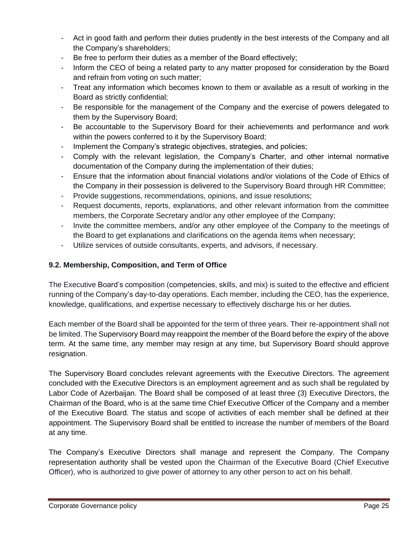- Act in good faith and perform their duties prudently in the best interests of the Company and all the Company's shareholders;
- Be free to perform their duties as a member of the Board effectively;
- Inform the CEO of being a related party to any matter proposed for consideration by the Board and refrain from voting on such matter;
- Treat any information which becomes known to them or available as a result of working in the Board as strictly confidential;
- Be responsible for the management of the Company and the exercise of powers delegated to them by the Supervisory Board;
- Be accountable to the Supervisory Board for their achievements and performance and work within the powers conferred to it by the Supervisory Board;
- Implement the Company's strategic objectives, strategies, and policies;
- Comply with the relevant legislation, the Company's Charter, and other internal normative documentation of the Company during the implementation of their duties;
- Ensure that the information about financial violations and/or violations of the Code of Ethics of the Company in their possession is delivered to the Supervisory Board through HR Committee;
- Provide suggestions, recommendations, opinions, and issue resolutions;
- Request documents, reports, explanations, and other relevant information from the committee members, the Corporate Secretary and/or any other employee of the Company;
- Invite the committee members, and/or any other employee of the Company to the meetings of the Board to get explanations and clarifications on the agenda items when necessary;
- Utilize services of outside consultants, experts, and advisors, if necessary.

# <span id="page-24-0"></span>**9.2. Membership, Composition, and Term of Office**

The Executive Board's composition (competencies, skills, and mix) is suited to the effective and efficient running of the Company's day-to-day operations. Each member, including the CEO, has the experience, knowledge, qualifications, and expertise necessary to effectively discharge his or her duties.

Each member of the Board shall be appointed for the term of three years. Their re-appointment shall not be limited. The Supervisory Board may reappoint the member of the Board before the expiry of the above term. At the same time, any member may resign at any time, but Supervisory Board should approve resignation.

The Supervisory Board concludes relevant agreements with the Executive Directors. The agreement concluded with the Executive Directors is an employment agreement and as such shall be regulated by Labor Code of Azerbaijan. The Board shall be composed of at least three (3) Executive Directors, the Chairman of the Board, who is at the same time Chief Executive Officer of the Company and a member of the Executive Board. The status and scope of activities of each member shall be defined at their appointment. The Supervisory Board shall be entitled to increase the number of members of the Board at any time.

The Company's Executive Directors shall manage and represent the Company. The Company representation authority shall be vested upon the Chairman of the Executive Board (Chief Executive Officer), who is authorized to give power of attorney to any other person to act on his behalf.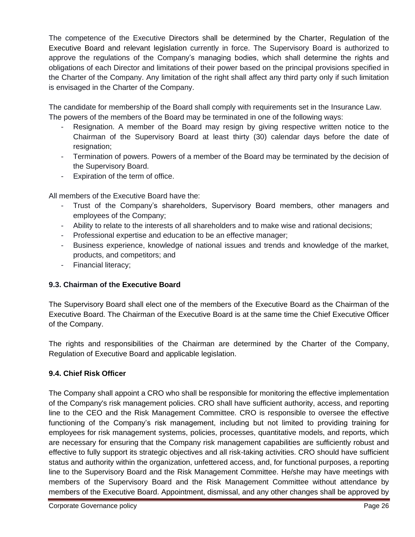The competence of the Executive Directors shall be determined by the Charter, Regulation of the Executive Board and relevant legislation currently in force. The Supervisory Board is authorized to approve the regulations of the Company's managing bodies, which shall determine the rights and obligations of each Director and limitations of their power based on the principal provisions specified in the Charter of the Company. Any limitation of the right shall affect any third party only if such limitation is envisaged in the Charter of the Company.

The candidate for membership of the Board shall comply with requirements set in the Insurance Law. The powers of the members of the Board may be terminated in one of the following ways:

- Resignation. A member of the Board may resign by giving respective written notice to the Chairman of the Supervisory Board at least thirty (30) calendar days before the date of resignation;
- Termination of powers. Powers of a member of the Board may be terminated by the decision of the Supervisory Board.
- Expiration of the term of office.

All members of the Executive Board have the:

- Trust of the Company's shareholders, Supervisory Board members, other managers and employees of the Company;
- Ability to relate to the interests of all shareholders and to make wise and rational decisions;
- Professional expertise and education to be an effective manager;
- Business experience, knowledge of national issues and trends and knowledge of the market, products, and competitors; and
- Financial literacy;

# <span id="page-25-0"></span>**9.3. Chairman of the Executive Board**

The Supervisory Board shall elect one of the members of the Executive Board as the Chairman of the Executive Board. The Chairman of the Executive Board is at the same time the Chief Executive Officer of the Company.

The rights and responsibilities of the Chairman are determined by the Charter of the Company, Regulation of Executive Board and applicable legislation.

# <span id="page-25-1"></span>**9.4. Chief Risk Officer**

The Company shall appoint a CRO who shall be responsible for monitoring the effective implementation of the Company's risk management policies. CRO shall have sufficient authority, access, and reporting line to the CEO and the Risk Management Committee. CRO is responsible to oversee the effective functioning of the Company's risk management, including but not limited to providing training for employees for risk management systems, policies, processes, quantitative models, and reports, which are necessary for ensuring that the Company risk management capabilities are sufficiently robust and effective to fully support its strategic objectives and all risk-taking activities. CRO should have sufficient status and authority within the organization, unfettered access, and, for functional purposes, a reporting line to the Supervisory Board and the Risk Management Committee. He/she may have meetings with members of the Supervisory Board and the Risk Management Committee without attendance by members of the Executive Board. Appointment, dismissal, and any other changes shall be approved by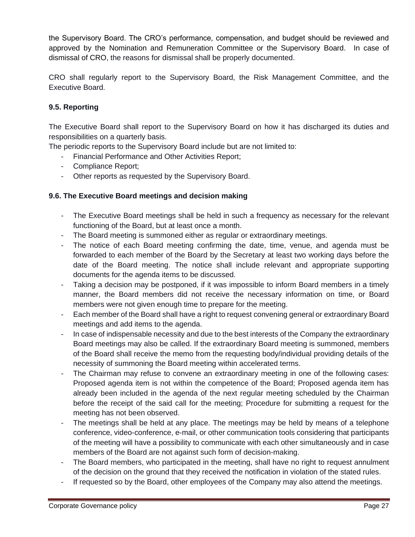the Supervisory Board. The CRO's performance, compensation, and budget should be reviewed and approved by the Nomination and Remuneration Committee or the Supervisory Board. In case of dismissal of CRO, the reasons for dismissal shall be properly documented.

CRO shall regularly report to the Supervisory Board, the Risk Management Committee, and the Executive Board.

# **9.5. Reporting**

The Executive Board shall report to the Supervisory Board on how it has discharged its duties and responsibilities on a quarterly basis.

The periodic reports to the Supervisory Board include but are not limited to:

- Financial Performance and Other Activities Report;
- Compliance Report;
- Other reports as requested by the Supervisory Board.

## <span id="page-26-0"></span>**9.6. The Executive Board meetings and decision making**

- The Executive Board meetings shall be held in such a frequency as necessary for the relevant functioning of the Board, but at least once a month.
- The Board meeting is summoned either as regular or extraordinary meetings.
- The notice of each Board meeting confirming the date, time, venue, and agenda must be forwarded to each member of the Board by the Secretary at least two working days before the date of the Board meeting. The notice shall include relevant and appropriate supporting documents for the agenda items to be discussed.
- Taking a decision may be postponed, if it was impossible to inform Board members in a timely manner, the Board members did not receive the necessary information on time, or Board members were not given enough time to prepare for the meeting.
- Each member of the Board shall have a right to request convening general or extraordinary Board meetings and add items to the agenda.
- In case of indispensable necessity and due to the best interests of the Company the extraordinary Board meetings may also be called. If the extraordinary Board meeting is summoned, members of the Board shall receive the memo from the requesting body/individual providing details of the necessity of summoning the Board meeting within accelerated terms.
- The Chairman may refuse to convene an extraordinary meeting in one of the following cases: Proposed agenda item is not within the competence of the Board; Proposed agenda item has already been included in the agenda of the next regular meeting scheduled by the Chairman before the receipt of the said call for the meeting; Procedure for submitting a request for the meeting has not been observed.
- The meetings shall be held at any place. The meetings may be held by means of a telephone conference, video-conference, e-mail, or other communication tools considering that participants of the meeting will have a possibility to communicate with each other simultaneously and in case members of the Board are not against such form of decision-making.
- The Board members, who participated in the meeting, shall have no right to request annulment of the decision on the ground that they received the notification in violation of the stated rules.
- If requested so by the Board, other employees of the Company may also attend the meetings.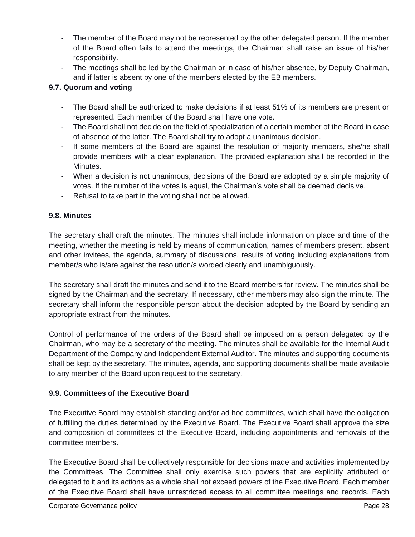- The member of the Board may not be represented by the other delegated person. If the member of the Board often fails to attend the meetings, the Chairman shall raise an issue of his/her responsibility.
- The meetings shall be led by the Chairman or in case of his/her absence, by Deputy Chairman, and if latter is absent by one of the members elected by the EB members.

# <span id="page-27-0"></span>**9.7. Quorum and voting**

- The Board shall be authorized to make decisions if at least 51% of its members are present or represented. Each member of the Board shall have one vote.
- The Board shall not decide on the field of specialization of a certain member of the Board in case of absence of the latter. The Board shall try to adopt a unanimous decision.
- If some members of the Board are against the resolution of majority members, she/he shall provide members with a clear explanation. The provided explanation shall be recorded in the Minutes.
- When a decision is not unanimous, decisions of the Board are adopted by a simple majority of votes. If the number of the votes is equal, the Chairman's vote shall be deemed decisive.
- Refusal to take part in the voting shall not be allowed.

# <span id="page-27-1"></span>**9.8. Minutes**

The secretary shall draft the minutes. The minutes shall include information on place and time of the meeting, whether the meeting is held by means of communication, names of members present, absent and other invitees, the agenda, summary of discussions, results of voting including explanations from member/s who is/are against the resolution/s worded clearly and unambiguously.

The secretary shall draft the minutes and send it to the Board members for review. The minutes shall be signed by the Chairman and the secretary. If necessary, other members may also sign the minute. The secretary shall inform the responsible person about the decision adopted by the Board by sending an appropriate extract from the minutes.

Control of performance of the orders of the Board shall be imposed on a person delegated by the Chairman, who may be a secretary of the meeting. The minutes shall be available for the Internal Audit Department of the Company and Independent External Auditor. The minutes and supporting documents shall be kept by the secretary. The minutes, agenda, and supporting documents shall be made available to any member of the Board upon request to the secretary.

# <span id="page-27-2"></span>**9.9. Committees of the Executive Board**

The Executive Board may establish standing and/or ad hoc committees, which shall have the obligation of fulfilling the duties determined by the Executive Board. The Executive Board shall approve the size and composition of committees of the Executive Board, including appointments and removals of the committee members.

The Executive Board shall be collectively responsible for decisions made and activities implemented by the Committees. The Committee shall only exercise such powers that are explicitly attributed or delegated to it and its actions as a whole shall not exceed powers of the Executive Board. Each member of the Executive Board shall have unrestricted access to all committee meetings and records. Each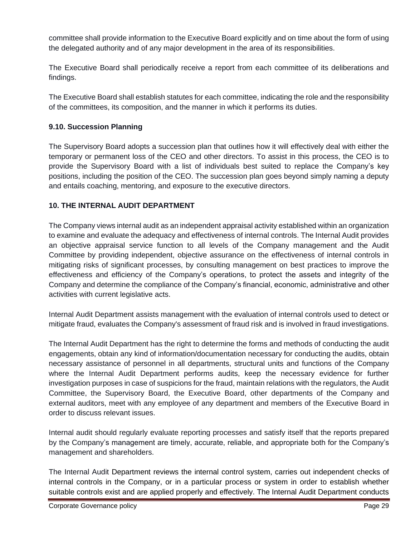committee shall provide information to the Executive Board explicitly and on time about the form of using the delegated authority and of any major development in the area of its responsibilities.

The Executive Board shall periodically receive a report from each committee of its deliberations and findings.

The Executive Board shall establish statutes for each committee, indicating the role and the responsibility of the committees, its composition, and the manner in which it performs its duties.

# <span id="page-28-0"></span>**9.10. Succession Planning**

The Supervisory Board adopts a succession plan that outlines how it will effectively deal with either the temporary or permanent loss of the CEO and other directors. To assist in this process, the CEO is to provide the Supervisory Board with a list of individuals best suited to replace the Company's key positions, including the position of the CEO. The succession plan goes beyond simply naming a deputy and entails coaching, mentoring, and exposure to the executive directors.

# <span id="page-28-1"></span>**10. THE INTERNAL AUDIT DEPARTMENT**

The Company views internal audit as an independent appraisal activity established within an organization to examine and evaluate the adequacy and effectiveness of internal controls. The Internal Audit provides an objective appraisal service function to all levels of the Company management and the Audit Committee by providing independent, objective assurance on the effectiveness of internal controls in mitigating risks of significant processes, by consulting management on best practices to improve the effectiveness and efficiency of the Company's operations, to protect the assets and integrity of the Company and determine the compliance of the Company's financial, economic, administrative and other activities with current legislative acts.

Internal Audit Department assists management with the evaluation of internal controls used to detect or mitigate fraud, evaluates the Company's assessment of fraud risk and is involved in fraud investigations.

The Internal Audit Department has the right to determine the forms and methods of conducting the audit engagements, obtain any kind of information/documentation necessary for conducting the audits, obtain necessary assistance of personnel in all departments, structural units and functions of the Company where the Internal Audit Department performs audits, keep the necessary evidence for further investigation purposes in case of suspicions for the fraud, maintain relations with the regulators, the Audit Committee, the Supervisory Board, the Executive Board, other departments of the Company and external auditors, meet with any employee of any department and members of the Executive Board in order to discuss relevant issues.

Internal audit should regularly evaluate reporting processes and satisfy itself that the reports prepared by the Company's management are timely, accurate, reliable, and appropriate both for the Company's management and shareholders.

The Internal Audit Department reviews the internal control system, carries out independent checks of internal controls in the Company, or in a particular process or system in order to establish whether suitable controls exist and are applied properly and effectively. The Internal Audit Department conducts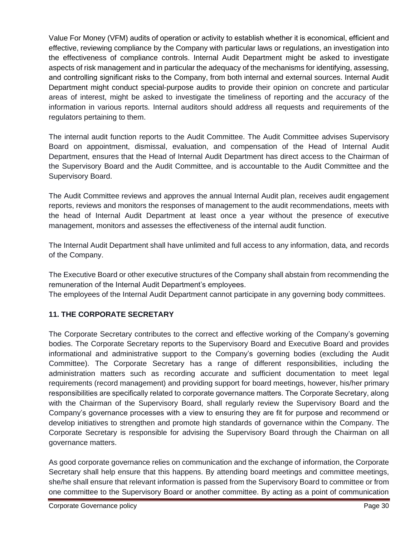Value For Money (VFM) audits of operation or activity to establish whether it is economical, efficient and effective, reviewing compliance by the Company with particular laws or regulations, an investigation into the effectiveness of compliance controls. Internal Audit Department might be asked to investigate aspects of risk management and in particular the adequacy of the mechanisms for identifying, assessing, and controlling significant risks to the Company, from both internal and external sources. Internal Audit Department might conduct special-purpose audits to provide their opinion on concrete and particular areas of interest, might be asked to investigate the timeliness of reporting and the accuracy of the information in various reports. Internal auditors should address all requests and requirements of the regulators pertaining to them.

The internal audit function reports to the Audit Committee. The Audit Committee advises Supervisory Board on appointment, dismissal, evaluation, and compensation of the Head of Internal Audit Department, ensures that the Head of Internal Audit Department has direct access to the Chairman of the Supervisory Board and the Audit Committee, and is accountable to the Audit Committee and the Supervisory Board.

The Audit Committee reviews and approves the annual Internal Audit plan, receives audit engagement reports, reviews and monitors the responses of management to the audit recommendations, meets with the head of Internal Audit Department at least once a year without the presence of executive management, monitors and assesses the effectiveness of the internal audit function.

The Internal Audit Department shall have unlimited and full access to any information, data, and records of the Company.

The Executive Board or other executive structures of the Company shall abstain from recommending the remuneration of the Internal Audit Department's employees.

The employees of the Internal Audit Department cannot participate in any governing body committees.

# <span id="page-29-0"></span>**11. THE CORPORATE SECRETARY**

The Corporate Secretary contributes to the correct and effective working of the Company's governing bodies. The Corporate Secretary reports to the Supervisory Board and Executive Board and provides informational and administrative support to the Company's governing bodies (excluding the Audit Committee). The Corporate Secretary has a range of different responsibilities, including the administration matters such as recording accurate and sufficient documentation to meet legal requirements (record management) and providing support for board meetings, however, his/her primary responsibilities are specifically related to corporate governance matters. The Corporate Secretary, along with the Chairman of the Supervisory Board, shall regularly review the Supervisory Board and the Company's governance processes with a view to ensuring they are fit for purpose and recommend or develop initiatives to strengthen and promote high standards of governance within the Company. The Corporate Secretary is responsible for advising the Supervisory Board through the Chairman on all governance matters.

As good corporate governance relies on communication and the exchange of information, the Corporate Secretary shall help ensure that this happens. By attending board meetings and committee meetings, she/he shall ensure that relevant information is passed from the Supervisory Board to committee or from one committee to the Supervisory Board or another committee. By acting as a point of communication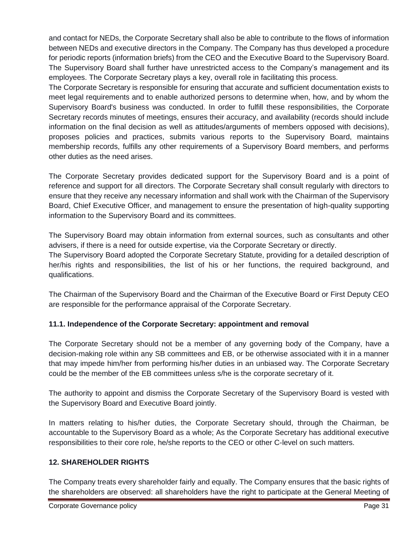and contact for NEDs, the Corporate Secretary shall also be able to contribute to the flows of information between NEDs and executive directors in the Company. The Company has thus developed a procedure for periodic reports (information briefs) from the CEO and the Executive Board to the Supervisory Board. The Supervisory Board shall further have unrestricted access to the Company's management and its employees. The Corporate Secretary plays a key, overall role in facilitating this process.

The Corporate Secretary is responsible for ensuring that accurate and sufficient documentation exists to meet legal requirements and to enable authorized persons to determine when, how, and by whom the Supervisory Board's business was conducted. In order to fulfill these responsibilities, the Corporate Secretary records minutes of meetings, ensures their accuracy, and availability (records should include information on the final decision as well as attitudes/arguments of members opposed with decisions), proposes policies and practices, submits various reports to the Supervisory Board, maintains membership records, fulfills any other requirements of a Supervisory Board members, and performs other duties as the need arises.

The Corporate Secretary provides dedicated support for the Supervisory Board and is a point of reference and support for all directors. The Corporate Secretary shall consult regularly with directors to ensure that they receive any necessary information and shall work with the Chairman of the Supervisory Board, Chief Executive Officer, and management to ensure the presentation of high-quality supporting information to the Supervisory Board and its committees.

The Supervisory Board may obtain information from external sources, such as consultants and other advisers, if there is a need for outside expertise, via the Corporate Secretary or directly. The Supervisory Board adopted the Corporate Secretary Statute, providing for a detailed description of her/his rights and responsibilities, the list of his or her functions, the required background, and qualifications.

The Chairman of the Supervisory Board and the Chairman of the Executive Board or First Deputy CEO are responsible for the performance appraisal of the Corporate Secretary.

# <span id="page-30-0"></span>**11.1. Independence of the Corporate Secretary: appointment and removal**

The Corporate Secretary should not be a member of any governing body of the Company, have a decision-making role within any SB committees and EB, or be otherwise associated with it in a manner that may impede him/her from performing his/her duties in an unbiased way. The Corporate Secretary could be the member of the EB committees unless s/he is the corporate secretary of it.

The authority to appoint and dismiss the Corporate Secretary of the Supervisory Board is vested with the Supervisory Board and Executive Board jointly.

In matters relating to his/her duties, the Corporate Secretary should, through the Chairman, be accountable to the Supervisory Board as a whole; As the Corporate Secretary has additional executive responsibilities to their core role, he/she reports to the CEO or other C-level on such matters.

# <span id="page-30-1"></span>**12. SHAREHOLDER RIGHTS**

The Company treats every shareholder fairly and equally. The Company ensures that the basic rights of the shareholders are observed: all shareholders have the right to participate at the General Meeting of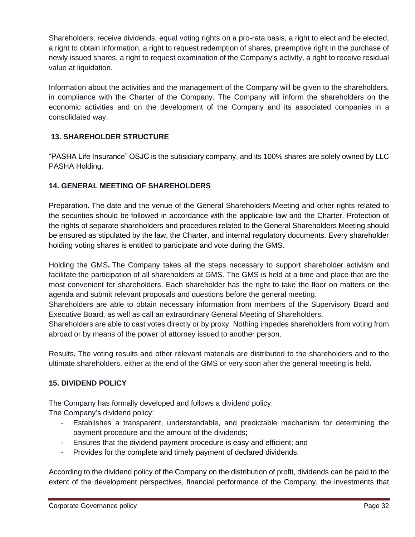Shareholders, receive dividends, equal voting rights on a pro-rata basis, a right to elect and be elected, a right to obtain information, a right to request redemption of shares, preemptive right in the purchase of newly issued shares, a right to request examination of the Company's activity, a right to receive residual value at liquidation.

Information about the activities and the management of the Company will be given to the shareholders, in compliance with the Charter of the Company. The Company will inform the shareholders on the economic activities and on the development of the Company and its associated companies in a consolidated way.

# <span id="page-31-0"></span>**13. SHAREHOLDER STRUCTURE**

"PASHA Life Insurance" OSJC is the subsidiary company, and its 100% shares are solely owned by LLC PASHA Holding.

# <span id="page-31-1"></span>**14. GENERAL MEETING OF SHAREHOLDERS**

Preparation**.** The date and the venue of the General Shareholders Meeting and other rights related to the securities should be followed in accordance with the applicable law and the Charter. Protection of the rights of separate shareholders and procedures related to the General Shareholders Meeting should be ensured as stipulated by the law, the Charter, and internal regulatory documents. Every shareholder holding voting shares is entitled to participate and vote during the GMS.

Holding the GMS**.** The Company takes all the steps necessary to support shareholder activism and facilitate the participation of all shareholders at GMS. The GMS is held at a time and place that are the most convenient for shareholders. Each shareholder has the right to take the floor on matters on the agenda and submit relevant proposals and questions before the general meeting.

Shareholders are able to obtain necessary information from members of the Supervisory Board and Executive Board, as well as call an extraordinary General Meeting of Shareholders.

Shareholders are able to cast votes directly or by proxy. Nothing impedes shareholders from voting from abroad or by means of the power of attorney issued to another person.

Results**.** The voting results and other relevant materials are distributed to the shareholders and to the ultimate shareholders, either at the end of the GMS or very soon after the general meeting is held.

# <span id="page-31-2"></span>**15. DIVIDEND POLICY**

The Company has formally developed and follows a dividend policy. The Company's dividend policy:

- Establishes a transparent, understandable, and predictable mechanism for determining the payment procedure and the amount of the dividends;
- Ensures that the dividend payment procedure is easy and efficient; and
- Provides for the complete and timely payment of declared dividends.

According to the dividend policy of the Company on the distribution of profit, dividends can be paid to the extent of the development perspectives, financial performance of the Company, the investments that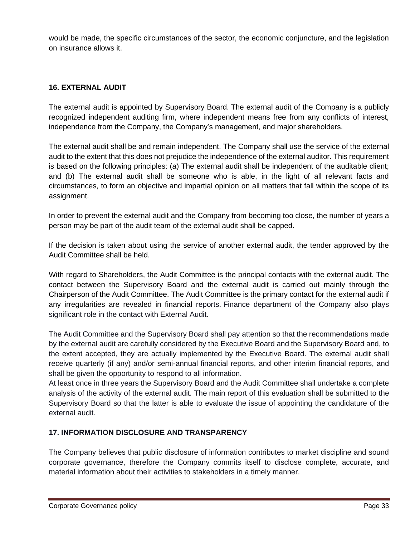would be made, the specific circumstances of the sector, the economic conjuncture, and the legislation on insurance allows it.

# <span id="page-32-0"></span>**16. EXTERNAL AUDIT**

The external audit is appointed by Supervisory Board. The external audit of the Company is a publicly recognized independent auditing firm, where independent means free from any conflicts of interest, independence from the Company, the Company's management, and major shareholders.

The external audit shall be and remain independent. The Company shall use the service of the external audit to the extent that this does not prejudice the independence of the external auditor. This requirement is based on the following principles: (a) The external audit shall be independent of the auditable client; and (b) The external audit shall be someone who is able, in the light of all relevant facts and circumstances, to form an objective and impartial opinion on all matters that fall within the scope of its assignment.

In order to prevent the external audit and the Company from becoming too close, the number of years a person may be part of the audit team of the external audit shall be capped.

If the decision is taken about using the service of another external audit, the tender approved by the Audit Committee shall be held.

With regard to Shareholders, the Audit Committee is the principal contacts with the external audit. The contact between the Supervisory Board and the external audit is carried out mainly through the Chairperson of the Audit Committee. The Audit Committee is the primary contact for the external audit if any irregularities are revealed in financial reports. Finance department of the Company also plays significant role in the contact with External Audit.

The Audit Committee and the Supervisory Board shall pay attention so that the recommendations made by the external audit are carefully considered by the Executive Board and the Supervisory Board and, to the extent accepted, they are actually implemented by the Executive Board. The external audit shall receive quarterly (if any) and/or semi-annual financial reports, and other interim financial reports, and shall be given the opportunity to respond to all information.

At least once in three years the Supervisory Board and the Audit Committee shall undertake a complete analysis of the activity of the external audit. The main report of this evaluation shall be submitted to the Supervisory Board so that the latter is able to evaluate the issue of appointing the candidature of the external audit.

#### <span id="page-32-1"></span>**17. INFORMATION DISCLOSURE AND TRANSPARENCY**

The Company believes that public disclosure of information contributes to market discipline and sound corporate governance, therefore the Company commits itself to disclose complete, accurate, and material information about their activities to stakeholders in a timely manner.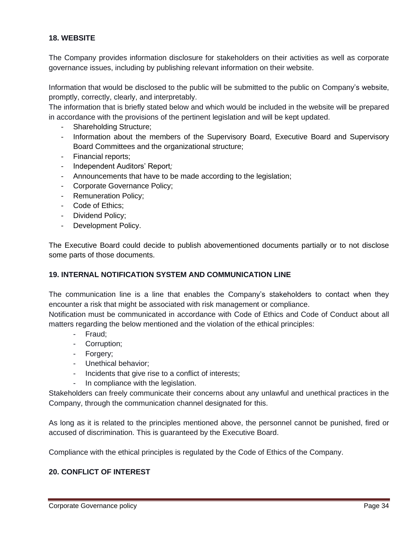#### <span id="page-33-0"></span>**18. WEBSITE**

The Company provides information disclosure for stakeholders on their activities as well as corporate governance issues, including by publishing relevant information on their website.

Information that would be disclosed to the public will be submitted to the public on Company's website, promptly, correctly, clearly, and interpretably.

The information that is briefly stated below and which would be included in the website will be prepared in accordance with the provisions of the pertinent legislation and will be kept updated.

- Shareholding Structure;
- Information about the members of the Supervisory Board, Executive Board and Supervisory Board Committees and the organizational structure;
- Financial reports;
- Independent Auditors' Report*;*
- Announcements that have to be made according to the legislation;
- Corporate Governance Policy;
- Remuneration Policy;
- Code of Ethics;
- Dividend Policy;
- Development Policy.

The Executive Board could decide to publish abovementioned documents partially or to not disclose some parts of those documents.

#### <span id="page-33-1"></span>**19. INTERNAL NOTIFICATION SYSTEM AND COMMUNICATION LINE**

The communication line is a line that enables the Company's stakeholders to contact when they encounter a risk that might be associated with risk management or compliance.

Notification must be communicated in accordance with Code of Ethics and Code of Conduct about all matters regarding the below mentioned and the violation of the ethical principles:

- Fraud;
- Corruption;
- Forgery;
- Unethical behavior;
- Incidents that give rise to a conflict of interests;
- In compliance with the legislation.

Stakeholders can freely communicate their concerns about any unlawful and unethical practices in the Company, through the communication channel designated for this.

As long as it is related to the principles mentioned above, the personnel cannot be punished, fired or accused of discrimination. This is guaranteed by the Executive Board.

Compliance with the ethical principles is regulated by the Code of Ethics of the Company.

#### <span id="page-33-2"></span>**20. CONFLICT OF INTEREST**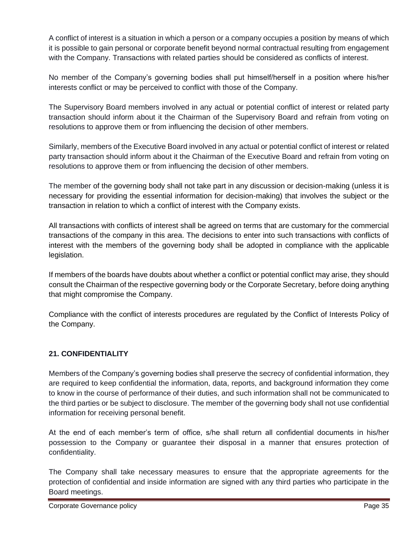A conflict of interest is a situation in which a person or a company occupies a position by means of which it is possible to gain personal or corporate benefit beyond normal contractual resulting from engagement with the Company. Transactions with related parties should be considered as conflicts of interest.

No member of the Company's governing bodies shall put himself/herself in a position where his/her interests conflict or may be perceived to conflict with those of the Company.

The Supervisory Board members involved in any actual or potential conflict of interest or related party transaction should inform about it the Chairman of the Supervisory Board and refrain from voting on resolutions to approve them or from influencing the decision of other members.

Similarly, members of the Executive Board involved in any actual or potential conflict of interest or related party transaction should inform about it the Chairman of the Executive Board and refrain from voting on resolutions to approve them or from influencing the decision of other members.

The member of the governing body shall not take part in any discussion or decision-making (unless it is necessary for providing the essential information for decision-making) that involves the subject or the transaction in relation to which a conflict of interest with the Company exists.

All transactions with conflicts of interest shall be agreed on terms that are customary for the commercial transactions of the company in this area. The decisions to enter into such transactions with conflicts of interest with the members of the governing body shall be adopted in compliance with the applicable legislation.

If members of the boards have doubts about whether a conflict or potential conflict may arise, they should consult the Chairman of the respective governing body or the Corporate Secretary, before doing anything that might compromise the Company.

Compliance with the conflict of interests procedures are regulated by the Conflict of Interests Policy of the Company.

# <span id="page-34-0"></span>**21. CONFIDENTIALITY**

Members of the Company's governing bodies shall preserve the secrecy of confidential information, they are required to keep confidential the information, data, reports, and background information they come to know in the course of performance of their duties, and such information shall not be communicated to the third parties or be subject to disclosure. The member of the governing body shall not use confidential information for receiving personal benefit.

At the end of each member's term of office, s/he shall return all confidential documents in his/her possession to the Company or guarantee their disposal in a manner that ensures protection of confidentiality.

The Company shall take necessary measures to ensure that the appropriate agreements for the protection of confidential and inside information are signed with any third parties who participate in the Board meetings.